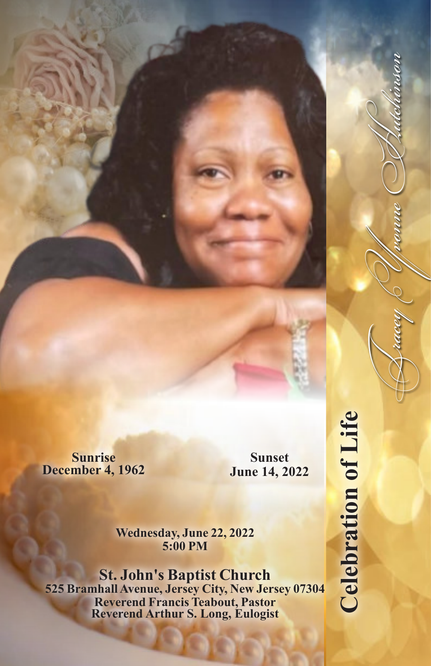**Sunrise December 4, 1962**

**Sunset June 14, 2022**

**Wednesday, June 22, 2022 5:00 PM**

**St. John's Baptist Church 525 Bramhall Avenue, Jersey City, New Jersey 07304 Reverend Francis Teabout, Pastor Reverend Arthur S. Long, Eulogist**

**Celebration of Life Celebration of Life**

TraceyYvonneHutchinson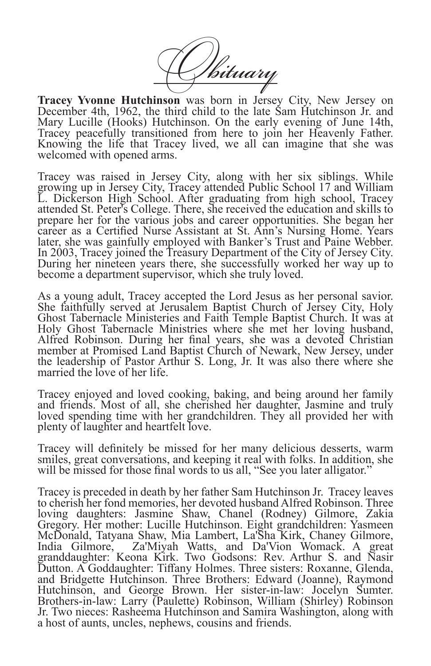Vituary

**Tracey Yvonne Hutchinson** was born in Jersey City, New Jersey on December 4th, 1962, the third child to the late Sam Hutchinson Jr. and Mary Lucille (Hooks) Hutchinson. On the early evening of June 14th, Tracey peacefully transitioned from here to join her Heavenly Father. Knowing the life that Tracey lived, we all can imagine that she was welcomed with opened arms.

Tracey was raised in Jersey City, along with her six siblings. While growing up in Jersey City, Tracey attended Public School 17 and William L. Dickerson High School. After graduating from high school, Tracey attended St. Peter's College. There, she received the education and skills to prepare her for the various jobs and career opportunities. She began her career as a Certified Nurse Assistant at St. Ann's Nursing Home. Years later, she was gainfully employed with Banker's Trust and Paine Webber. In 2003, Tracey joined the Treasury Department of the City of Jersey City. During her nineteen years there, she successfully worked her way up to become a department supervisor, which she truly loved.

As a young adult, Tracey accepted the Lord Jesus as her personal savior. She faithfully served at Jerusalem Baptist Church of Jersey City, Holy Ghost Tabernacle Ministeries and Faith Temple Baptist Church. It was at Holy Ghost Tabernacle Ministries where she met her loving husband, Alfred Robinson. During her final years, she was a devoted Christian member at Promised Land Baptist Church of Newark, New Jersey, under the leadership of Pastor Arthur S. Long, Jr. It was also there where she married the love of her life.

Tracey enjoyed and loved cooking, baking, and being around her family and friends. Most of all, she cherished her daughter, Jasmine and truly loved spending time with her grandchildren. They all provided her with plenty of laughter and heartfelt love.

Tracey will definitely be missed for her many delicious desserts, warm smiles, great conversations, and keeping it real with folks. In addition, she will be missed for those final words to us all, "See you later alligator."

Tracey is preceded in death by her father Sam Hutchinson Jr. Tracey leaves to cherish her fond memories, her devoted husband Alfred Robinson. Three loving daughters: Jasmine Shaw, Chanel (Rodney) Gilmore, Zakia Gregory. Her mother: Lucille Hutchinson. Eight grandchildren: Yasmeen McDonald, Tatyana Shaw, Mia Lambert, La'Sha Kirk, Chaney Gilmore, Za'Miyah Watts, and Da'Vion Womack. A great granddaughter: Keona Kirk. Two Godsons: Rev. Arthur S. and Nasir Dutton. A Goddaughter: Tiffany Holmes. Three sisters: Roxanne, Glenda, and Bridgette Hutchinson. Three Brothers: Edward (Joanne), Raymond Hutchinson, and George Brown. Her sister-in-law: Jocelyn Sumter. Brothers-in-law: Larry (Paulette) Robinson, William (Shirley) Robinson Jr. Two nieces: Rasheema Hutchinson and Samira Washington, along with a host of aunts, uncles, nephews, cousins and friends.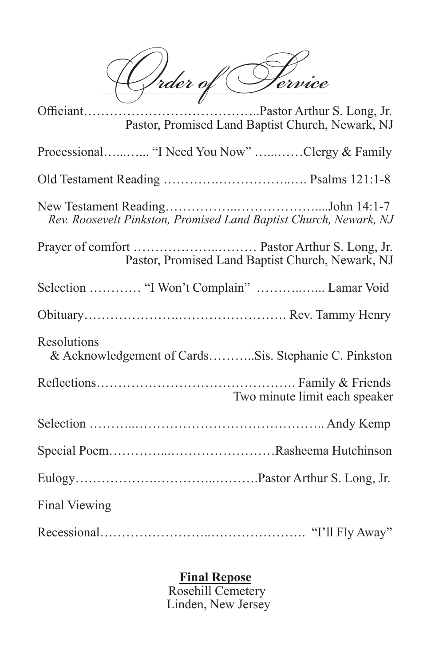Order of Pervice

| Pastor, Promised Land Baptist Church, Newark, NJ                    |
|---------------------------------------------------------------------|
| Processional "I Need You Now" Clergy & Family                       |
|                                                                     |
| Rev. Roosevelt Pinkston, Promised Land Baptist Church, Newark, NJ   |
| Pastor, Promised Land Baptist Church, Newark, NJ                    |
| Selection  "I Won't Complain"  Lamar Void                           |
|                                                                     |
| Resolutions<br>& Acknowledgement of CardsSis. Stephanie C. Pinkston |
| Two minute limit each speaker                                       |
|                                                                     |
|                                                                     |
|                                                                     |
| Final Viewing                                                       |
|                                                                     |

## **Final Repose**

Rosehill Cemetery Linden, New Jersey